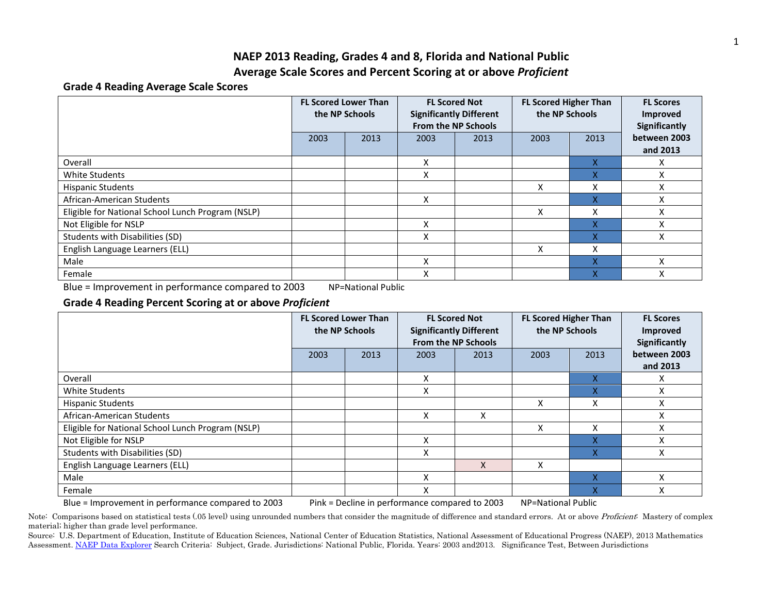## **NAEP 2013 Reading, Grades 4 and 8, Florida and National Public Average Scale Scores and Percent Scoring at or above** *Proficient*

### **Grade 4 Reading Average Scale Scores**

|                                                   | <b>FL Scored Lower Than</b><br>the NP Schools |      | <b>FL Scored Not</b><br><b>Significantly Different</b><br><b>From the NP Schools</b> |      | <b>FL Scored Higher Than</b><br>the NP Schools |      | <b>FL Scores</b><br><b>Improved</b><br>Significantly |
|---------------------------------------------------|-----------------------------------------------|------|--------------------------------------------------------------------------------------|------|------------------------------------------------|------|------------------------------------------------------|
|                                                   | 2003                                          | 2013 | 2003                                                                                 | 2013 | 2003                                           | 2013 | between 2003<br>and 2013                             |
| Overall                                           |                                               |      | X                                                                                    |      |                                                | X    | Χ                                                    |
| White Students                                    |                                               |      | X                                                                                    |      |                                                | Χ    | Χ                                                    |
| <b>Hispanic Students</b>                          |                                               |      |                                                                                      |      | x                                              | x    | Χ                                                    |
| African-American Students                         |                                               |      | X                                                                                    |      |                                                | Χ    | Χ                                                    |
| Eligible for National School Lunch Program (NSLP) |                                               |      |                                                                                      |      | x                                              | x    | Χ                                                    |
| Not Eligible for NSLP                             |                                               |      | x                                                                                    |      |                                                | X    | Χ                                                    |
| Students with Disabilities (SD)                   |                                               |      | x                                                                                    |      |                                                | X    | X                                                    |
| English Language Learners (ELL)                   |                                               |      |                                                                                      |      | X                                              | x    |                                                      |
| Male                                              |                                               |      | x                                                                                    |      |                                                | X    | x                                                    |
| Female                                            |                                               |      | Χ                                                                                    |      |                                                | X    | Χ                                                    |

Blue = Improvement in performance compared to 2003 NP=National Public

## **Grade 4 Reading Percent Scoring at or above** *Proficient*

|                                                                                                                            | <b>FL Scored Lower Than</b><br>the NP Schools |      |      | <b>FL Scored Not</b><br><b>Significantly Different</b><br><b>From the NP Schools</b> | <b>FL Scored Higher Than</b><br>the NP Schools |      | <b>FL Scores</b><br>Improved<br>Significantly |  |
|----------------------------------------------------------------------------------------------------------------------------|-----------------------------------------------|------|------|--------------------------------------------------------------------------------------|------------------------------------------------|------|-----------------------------------------------|--|
|                                                                                                                            | 2003                                          | 2013 | 2003 | 2013                                                                                 | 2003                                           | 2013 | between 2003                                  |  |
|                                                                                                                            |                                               |      |      |                                                                                      |                                                |      | and 2013                                      |  |
| Overall                                                                                                                    |                                               |      | X    |                                                                                      |                                                | X    | x                                             |  |
| White Students                                                                                                             |                                               |      | X    |                                                                                      |                                                | X    | X                                             |  |
| <b>Hispanic Students</b>                                                                                                   |                                               |      |      |                                                                                      | x                                              | Χ    | Χ                                             |  |
| African-American Students                                                                                                  |                                               |      | X    | Χ                                                                                    |                                                |      | Χ                                             |  |
| Eligible for National School Lunch Program (NSLP)                                                                          |                                               |      |      |                                                                                      | X                                              | x    | X                                             |  |
| Not Eligible for NSLP                                                                                                      |                                               |      | x    |                                                                                      |                                                | x    | X                                             |  |
| Students with Disabilities (SD)                                                                                            |                                               |      | x    |                                                                                      |                                                | x    | X                                             |  |
| English Language Learners (ELL)                                                                                            |                                               |      |      | X                                                                                    | x                                              |      |                                               |  |
| Male                                                                                                                       |                                               |      | X    |                                                                                      |                                                |      | v                                             |  |
| Female                                                                                                                     |                                               |      | X    |                                                                                      |                                                | X    | Χ                                             |  |
| Blue = Improvement in performance compared to 2003<br>NP=National Public<br>Pink = Decline in performance compared to 2003 |                                               |      |      |                                                                                      |                                                |      |                                               |  |

Note: Comparisons based on statistical tests (.05 level) using unrounded numbers that consider the magnitude of difference and standard errors. At or above Proficient: Mastery of complex material; higher than grade level performance.

Source: U.S. Department of Education, Institute of Education Sciences, National Center of Education Statistics, National Assessment of Educational Progress (NAEP), 2013 Mathematics Assessment. [NAEP Data Explorer](http://nces.ed.gov/nationsreportcard/naepdata/) Search Criteria: Subject, Grade. Jurisdictions: National Public, Florida. Years: 2003 and2013. Significance Test, Between Jurisdictions